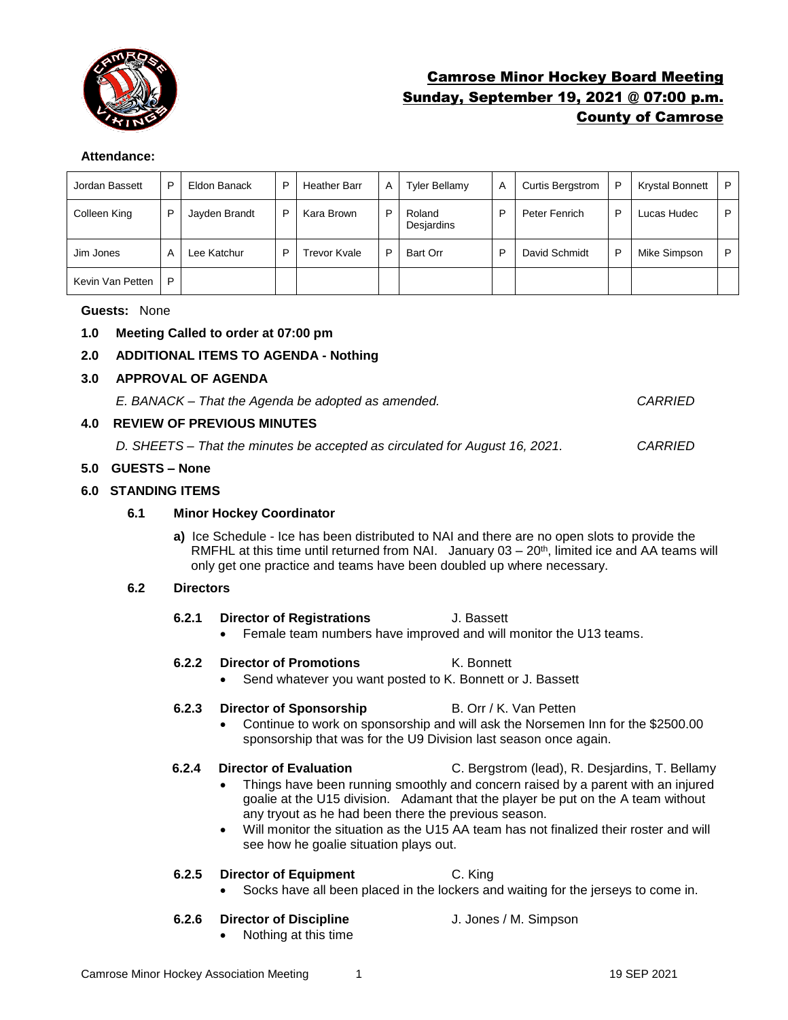

# Camrose Minor Hockey Board Meeting Sunday, September 19, 2021 @ 07:00 p.m. County of Camrose

#### **Attendance:**

| Jordan Bassett   | P | Eldon Banack  | P | <b>Heather Barr</b> | Α | <b>Tyler Bellamy</b> | A | <b>Curtis Bergstrom</b> | P | <b>Krystal Bonnett</b> | P |
|------------------|---|---------------|---|---------------------|---|----------------------|---|-------------------------|---|------------------------|---|
| Colleen King     | P | Jayden Brandt | P | Kara Brown          | P | Roland<br>Desjardins | P | Peter Fenrich           | P | Lucas Hudec            | P |
| Jim Jones        | A | Lee Katchur   | P | Trevor Kvale        |   | Bart Orr             | P | David Schmidt           | P | Mike Simpson           | P |
| Kevin Van Petten | P |               |   |                     |   |                      |   |                         |   |                        |   |

#### **Guests:** None

#### **1.0 Meeting Called to order at 07:00 pm**

#### **2.0 ADDITIONAL ITEMS TO AGENDA - Nothing**

#### **3.0 APPROVAL OF AGENDA**

*E. BANACK – That the Agenda be adopted as amended. CARRIED*

#### **4.0 REVIEW OF PREVIOUS MINUTES**

*D. SHEETS – That the minutes be accepted as circulated for August 16, 2021. CARRIED*

#### **5.0 GUESTS – None**

#### **6.0 STANDING ITEMS**

#### **6.1 Minor Hockey Coordinator**

**a)** Ice Schedule - Ice has been distributed to NAI and there are no open slots to provide the RMFHL at this time until returned from NAI. January  $03 - 20<sup>th</sup>$ , limited ice and AA teams will only get one practice and teams have been doubled up where necessary.

#### **6.2 Directors**

- **6.2.1 Director of Registrations** J. Bassett
	- Female team numbers have improved and will monitor the U13 teams.

#### **6.2.2 Director of Promotions** K. Bonnett

Send whatever you want posted to K. Bonnett or J. Bassett

#### **6.2.3 Director of Sponsorship B. Orr / K. Van Petten**

• Continue to work on sponsorship and will ask the Norsemen Inn for the \$2500.00 sponsorship that was for the U9 Division last season once again.

- **6.2.4 Director of Evaluation** C. Bergstrom (lead), R. Desjardins, T. Bellamy • Things have been running smoothly and concern raised by a parent with an injured goalie at the U15 division. Adamant that the player be put on the A team without
	- any tryout as he had been there the previous season. • Will monitor the situation as the U15 AA team has not finalized their roster and will see how he goalie situation plays out.

#### **6.2.5 Director of Equipment** C. King

• Socks have all been placed in the lockers and waiting for the jerseys to come in.

#### **6.2.6 Director of Discipline** J. Jones / M. Simpson

• Nothing at this time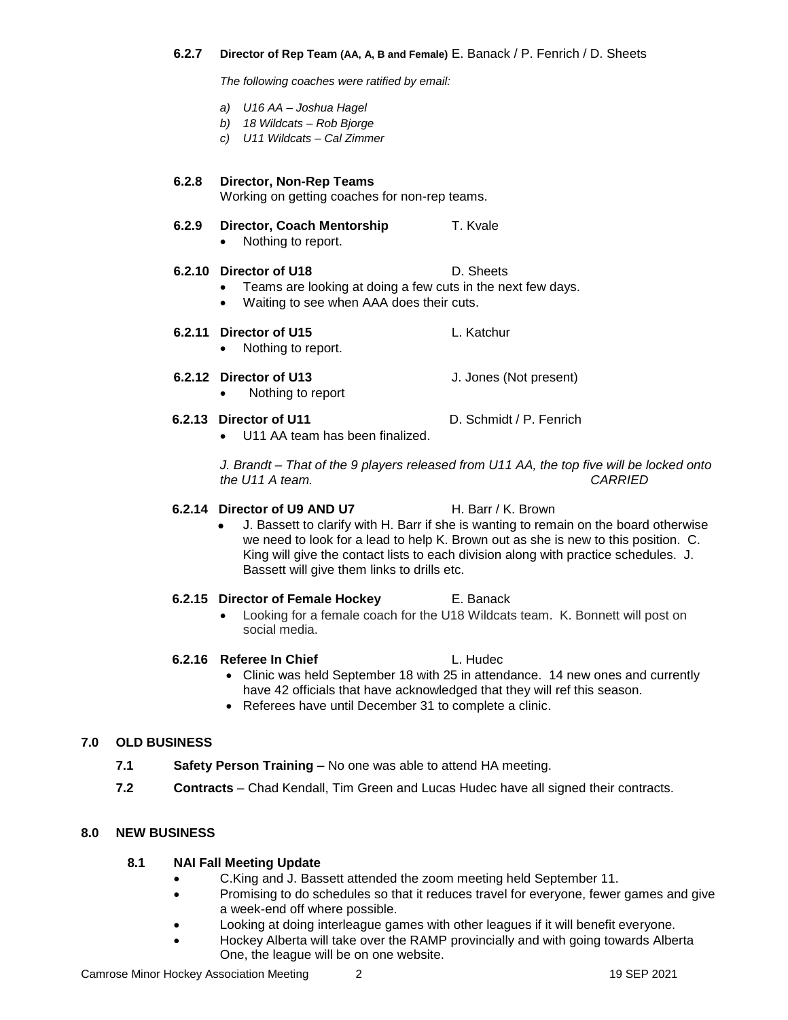#### **6.2.7 Director of Rep Team (AA, A, B and Female)** E. Banack / P. Fenrich / D. Sheets

*The following coaches were ratified by email:*

- *a) U16 AA – Joshua Hagel*
- *b) 18 Wildcats – Rob Bjorge*
- *c) U11 Wildcats – Cal Zimmer*

**6.2.8 Director, Non-Rep Teams** Working on getting coaches for non-rep teams.

- **6.2.9 Director, Coach Mentorship T. Kvale** 
	- Nothing to report.

## **6.2.10 Director of U18** D. Sheets

- Teams are looking at doing a few cuts in the next few days.
- Waiting to see when AAA does their cuts.

### **6.2.11 Director of U15** L. Katchur

• Nothing to report.

#### **6.2.12 Director of U13** J. Jones (Not present)

• Nothing to report

#### **6.2.13 Director of U11** D. Schmidt / P. Fenrich

• U11 AA team has been finalized.

*J. Brandt – That of the 9 players released from U11 AA, the top five will be locked onto the U11 A team. CARRIED*

#### **6.2.14 Director of U9 AND U7** H. Barr / K. Brown

• J. Bassett to clarify with H. Barr if she is wanting to remain on the board otherwise we need to look for a lead to help K. Brown out as she is new to this position. C. King will give the contact lists to each division along with practice schedules. J. Bassett will give them links to drills etc.

#### **6.2.15 Director of Female Hockey** E. Banack

• Looking for a female coach for the U18 Wildcats team. K. Bonnett will post on social media.

#### **6.2.16 Referee In Chief L. Hudec**

- Clinic was held September 18 with 25 in attendance. 14 new ones and currently have 42 officials that have acknowledged that they will ref this season.
- Referees have until December 31 to complete a clinic.

### **7.0 OLD BUSINESS**

- **7.1 Safety Person Training –** No one was able to attend HA meeting.
- **7.2 Contracts** Chad Kendall, Tim Green and Lucas Hudec have all signed their contracts.

### **8.0 NEW BUSINESS**

#### **8.1 NAI Fall Meeting Update**

- C.King and J. Bassett attended the zoom meeting held September 11.
- Promising to do schedules so that it reduces travel for everyone, fewer games and give a week-end off where possible.
- Looking at doing interleague games with other leagues if it will benefit everyone.
- Hockey Alberta will take over the RAMP provincially and with going towards Alberta One, the league will be on one website.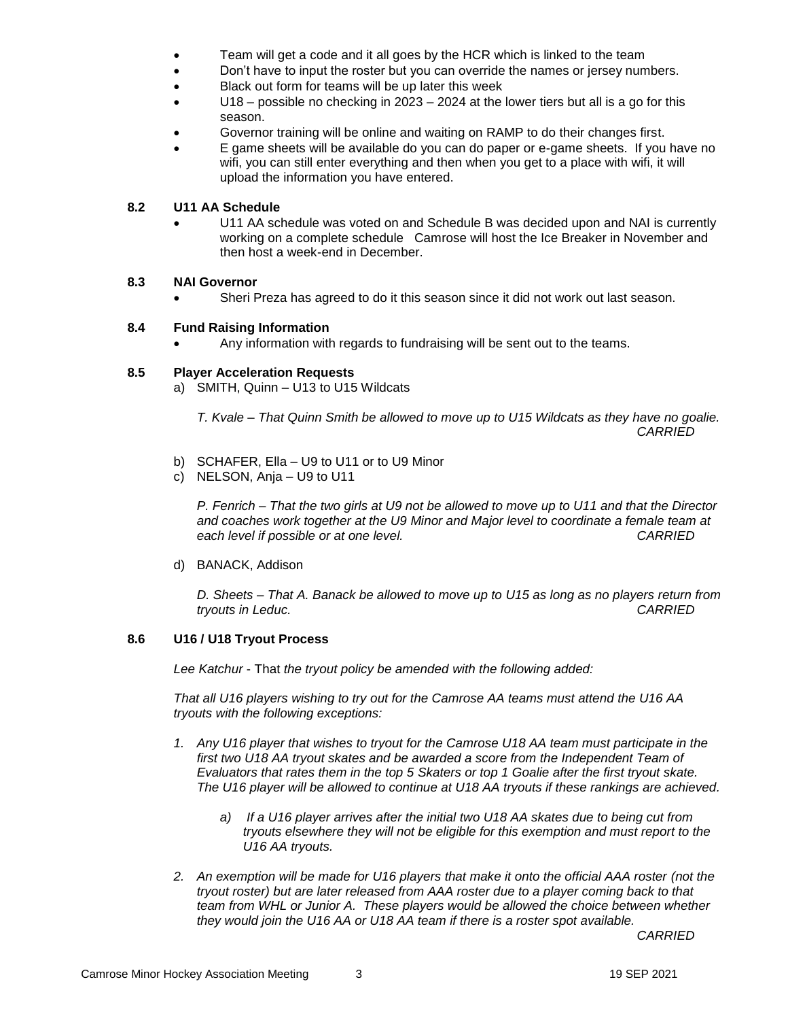- Team will get a code and it all goes by the HCR which is linked to the team
- Don't have to input the roster but you can override the names or jersey numbers.
- Black out form for teams will be up later this week
- U18 possible no checking in 2023 2024 at the lower tiers but all is a go for this season.
- Governor training will be online and waiting on RAMP to do their changes first.
- E game sheets will be available do you can do paper or e-game sheets. If you have no wifi, you can still enter everything and then when you get to a place with wifi, it will upload the information you have entered.

#### **8.2 U11 AA Schedule**

• U11 AA schedule was voted on and Schedule B was decided upon and NAI is currently working on a complete schedule Camrose will host the Ice Breaker in November and then host a week-end in December.

#### **8.3 NAI Governor**

Sheri Preza has agreed to do it this season since it did not work out last season.

#### **8.4 Fund Raising Information**

• Any information with regards to fundraising will be sent out to the teams.

#### **8.5 Player Acceleration Requests**

a) SMITH, Quinn – U13 to U15 Wildcats

*T. Kvale – That Quinn Smith be allowed to move up to U15 Wildcats as they have no goalie. CARRIED*

- b) SCHAFER, Ella U9 to U11 or to U9 Minor
- c) NELSON, Anja U9 to U11

*P. Fenrich – That the two girls at U9 not be allowed to move up to U11 and that the Director and coaches work together at the U9 Minor and Major level to coordinate a female team at each level if possible or at one level. CARRIED*

d) BANACK, Addison

*D. Sheets – That A. Banack be allowed to move up to U15 as long as no players return from tryouts in Leduc. CARRIED* 

#### **8.6 U16 / U18 Tryout Process**

*Lee Katchur* - That *the tryout policy be amended with the following added:*

*That all U16 players wishing to try out for the Camrose AA teams must attend the U16 AA tryouts with the following exceptions:* 

- *1. Any U16 player that wishes to tryout for the Camrose U18 AA team must participate in the*  first two U18 AA tryout skates and be awarded a score from the Independent Team of *Evaluators that rates them in the top 5 Skaters or top 1 Goalie after the first tryout skate. The U16 player will be allowed to continue at U18 AA tryouts if these rankings are achieved.* 
	- *a) If a U16 player arrives after the initial two U18 AA skates due to being cut from tryouts elsewhere they will not be eligible for this exemption and must report to the U16 AA tryouts.*
- *2. An exemption will be made for U16 players that make it onto the official AAA roster (not the tryout roster) but are later released from AAA roster due to a player coming back to that team from WHL or Junior A. These players would be allowed the choice between whether they would join the U16 AA or U18 AA team if there is a roster spot available.*

*CARRIED*